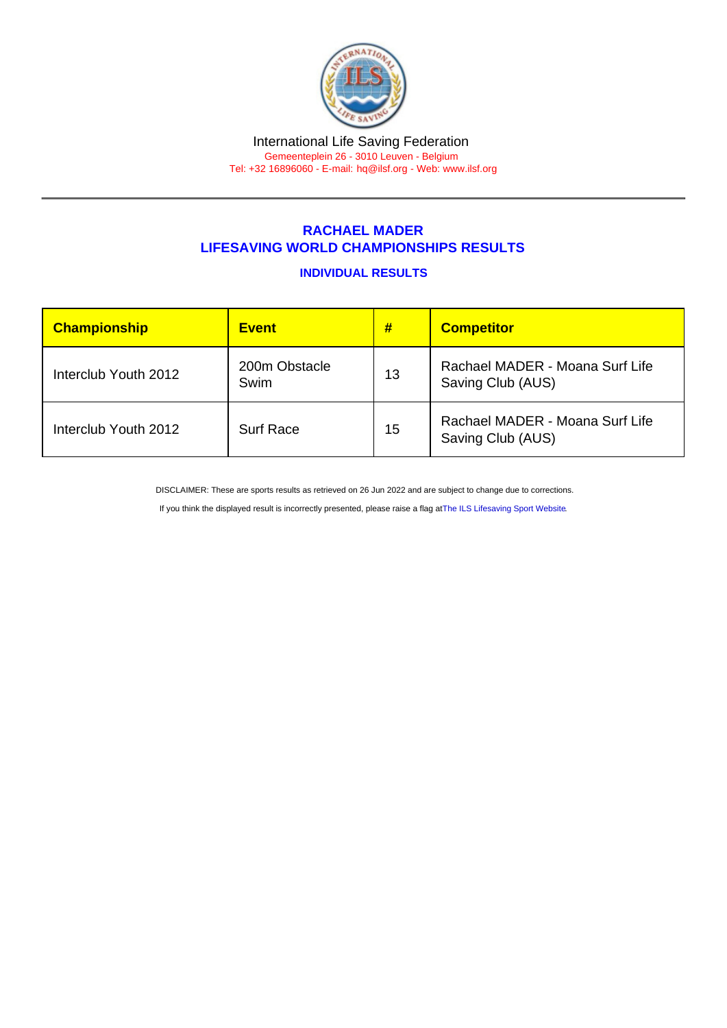## RACHAEL MADER LIFESAVING WORLD CHAMPIONSHIPS RESULTS

## INDIVIDUAL RESULTS

| Championship         | <b>Event</b>          | #  | <b>Competitor</b>                                    |
|----------------------|-----------------------|----|------------------------------------------------------|
| Interclub Youth 2012 | 200m Obstacle<br>Swim | 13 | Rachael MADER - Moana Surf Life<br>Saving Club (AUS) |
| Interclub Youth 2012 | <b>Surf Race</b>      | 15 | Rachael MADER - Moana Surf Life<br>Saving Club (AUS) |

DISCLAIMER: These are sports results as retrieved on 26 Jun 2022 and are subject to change due to corrections.

If you think the displayed result is incorrectly presented, please raise a flag at [The ILS Lifesaving Sport Website.](https://sport.ilsf.org)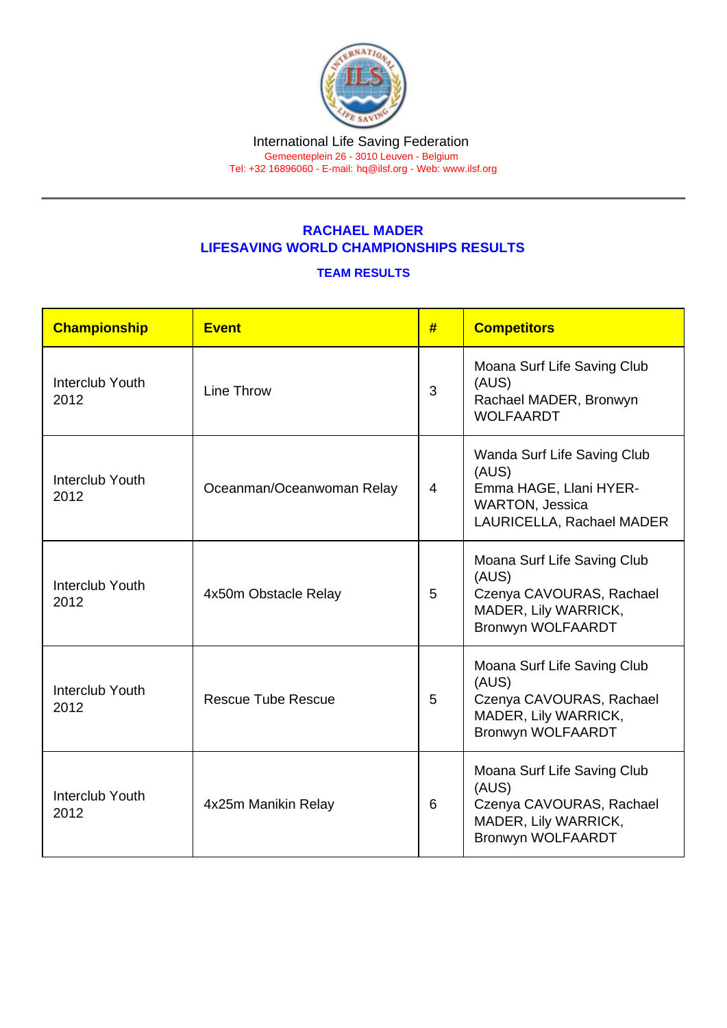## RACHAEL MADER LIFESAVING WORLD CHAMPIONSHIPS RESULTS

## TEAM RESULTS

| Championship            | Event                     | #              | <b>Competitors</b>                                                                                                    |
|-------------------------|---------------------------|----------------|-----------------------------------------------------------------------------------------------------------------------|
| Interclub Youth<br>2012 | Line Throw                | $\overline{3}$ | Moana Surf Life Saving Club<br>(AUS)<br>Rachael MADER, Bronwyn<br><b>WOLFAARDT</b>                                    |
| Interclub Youth<br>2012 | Oceanman/Oceanwoman Relay | $\overline{4}$ | Wanda Surf Life Saving Club<br>(AUS)<br>Emma HAGE, Llani HYER-<br><b>WARTON, Jessica</b><br>LAURICELLA, Rachael MADER |
| Interclub Youth<br>2012 | 4x50m Obstacle Relay      | 5              | Moana Surf Life Saving Club<br>(AUS)<br>Czenya CAVOURAS, Rachael<br>MADER, Lily WARRICK,<br><b>Bronwyn WOLFAARDT</b>  |
| Interclub Youth<br>2012 | <b>Rescue Tube Rescue</b> | 5              | Moana Surf Life Saving Club<br>(AUS)<br>Czenya CAVOURAS, Rachael<br>MADER, Lily WARRICK,<br><b>Bronwyn WOLFAARDT</b>  |
| Interclub Youth<br>2012 | 4x25m Manikin Relay       | 6              | Moana Surf Life Saving Club<br>(AUS)<br>Czenya CAVOURAS, Rachael<br>MADER, Lily WARRICK,<br><b>Bronwyn WOLFAARDT</b>  |